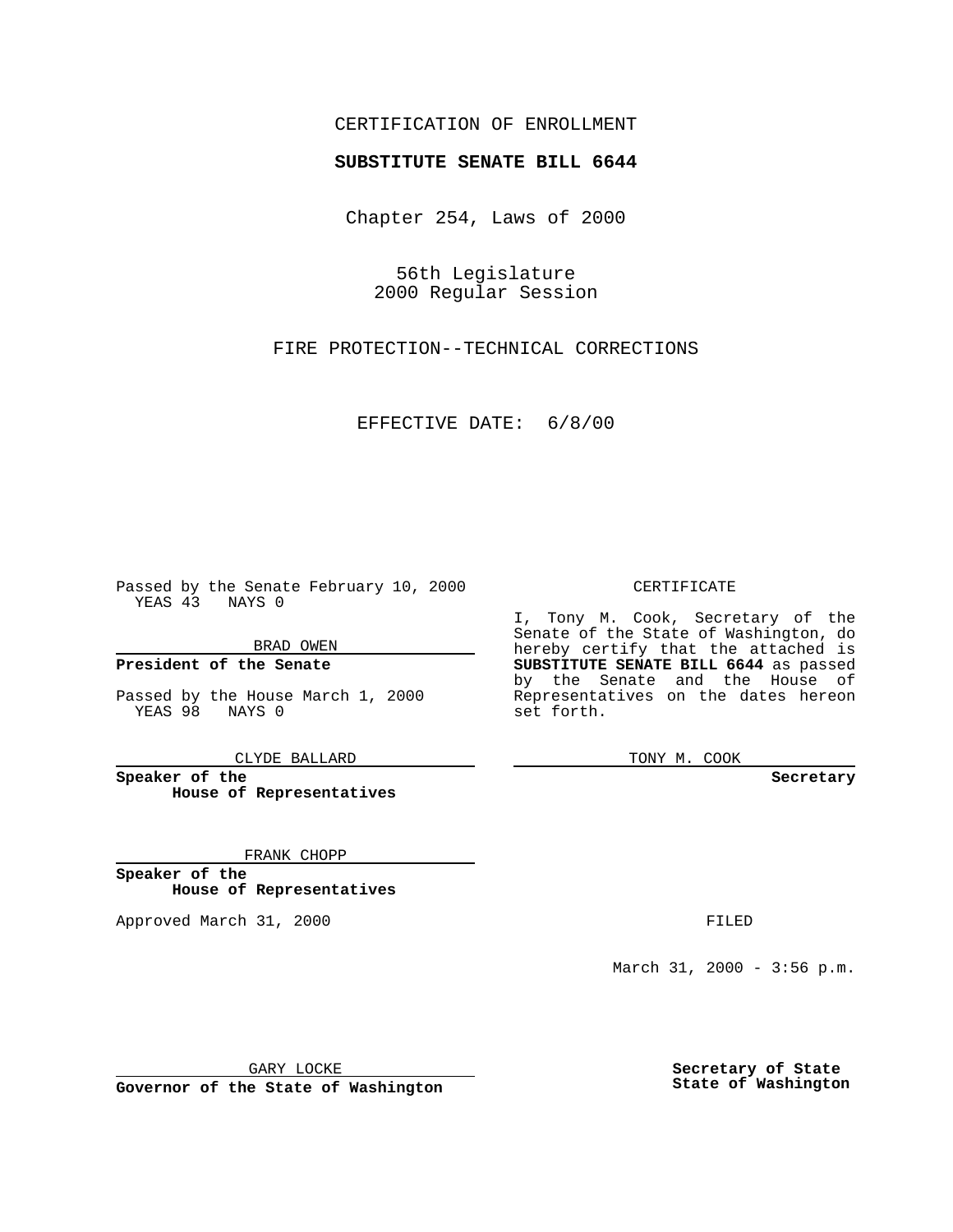## CERTIFICATION OF ENROLLMENT

# **SUBSTITUTE SENATE BILL 6644**

Chapter 254, Laws of 2000

56th Legislature 2000 Regular Session

FIRE PROTECTION--TECHNICAL CORRECTIONS

### EFFECTIVE DATE: 6/8/00

Passed by the Senate February 10, 2000 YEAS 43 NAYS 0

BRAD OWEN

**President of the Senate**

Passed by the House March 1, 2000 YEAS 98 NAYS 0

CLYDE BALLARD

**Speaker of the House of Representatives**

FRANK CHOPP

**Speaker of the House of Representatives**

Approved March 31, 2000 FILED

#### CERTIFICATE

I, Tony M. Cook, Secretary of the Senate of the State of Washington, do hereby certify that the attached is **SUBSTITUTE SENATE BILL 6644** as passed by the Senate and the House of Representatives on the dates hereon set forth.

TONY M. COOK

**Secretary**

March 31, 2000 - 3:56 p.m.

GARY LOCKE

**Governor of the State of Washington**

**Secretary of State State of Washington**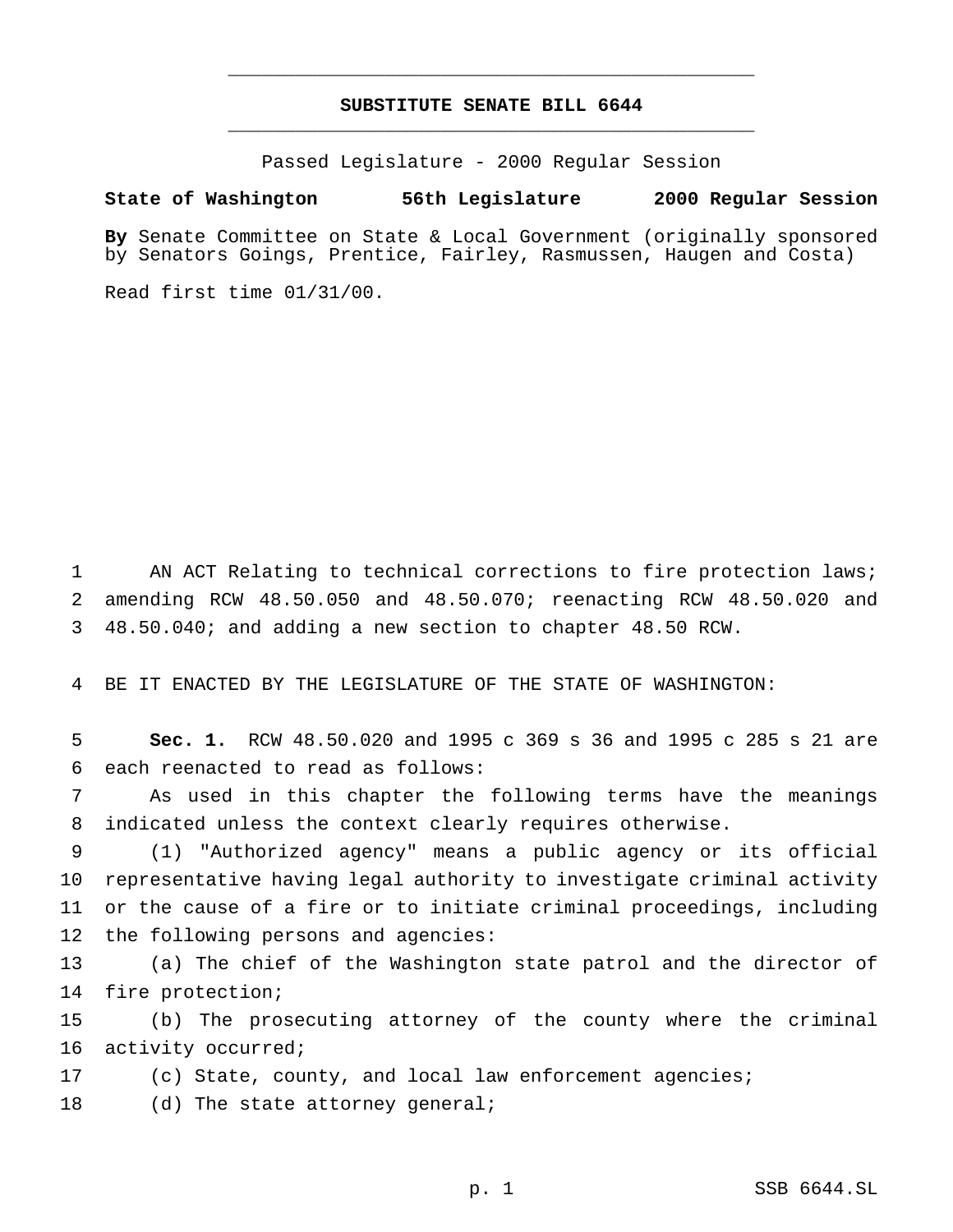## **SUBSTITUTE SENATE BILL 6644** \_\_\_\_\_\_\_\_\_\_\_\_\_\_\_\_\_\_\_\_\_\_\_\_\_\_\_\_\_\_\_\_\_\_\_\_\_\_\_\_\_\_\_\_\_\_\_

\_\_\_\_\_\_\_\_\_\_\_\_\_\_\_\_\_\_\_\_\_\_\_\_\_\_\_\_\_\_\_\_\_\_\_\_\_\_\_\_\_\_\_\_\_\_\_

Passed Legislature - 2000 Regular Session

### **State of Washington 56th Legislature 2000 Regular Session**

**By** Senate Committee on State & Local Government (originally sponsored by Senators Goings, Prentice, Fairley, Rasmussen, Haugen and Costa)

Read first time 01/31/00.

1 AN ACT Relating to technical corrections to fire protection laws; 2 amending RCW 48.50.050 and 48.50.070; reenacting RCW 48.50.020 and 3 48.50.040; and adding a new section to chapter 48.50 RCW.

4 BE IT ENACTED BY THE LEGISLATURE OF THE STATE OF WASHINGTON:

5 **Sec. 1.** RCW 48.50.020 and 1995 c 369 s 36 and 1995 c 285 s 21 are 6 each reenacted to read as follows:

7 As used in this chapter the following terms have the meanings 8 indicated unless the context clearly requires otherwise.

 (1) "Authorized agency" means a public agency or its official representative having legal authority to investigate criminal activity or the cause of a fire or to initiate criminal proceedings, including the following persons and agencies:

13 (a) The chief of the Washington state patrol and the director of 14 fire protection;

15 (b) The prosecuting attorney of the county where the criminal 16 activity occurred;

17 (c) State, county, and local law enforcement agencies;

18 (d) The state attorney general;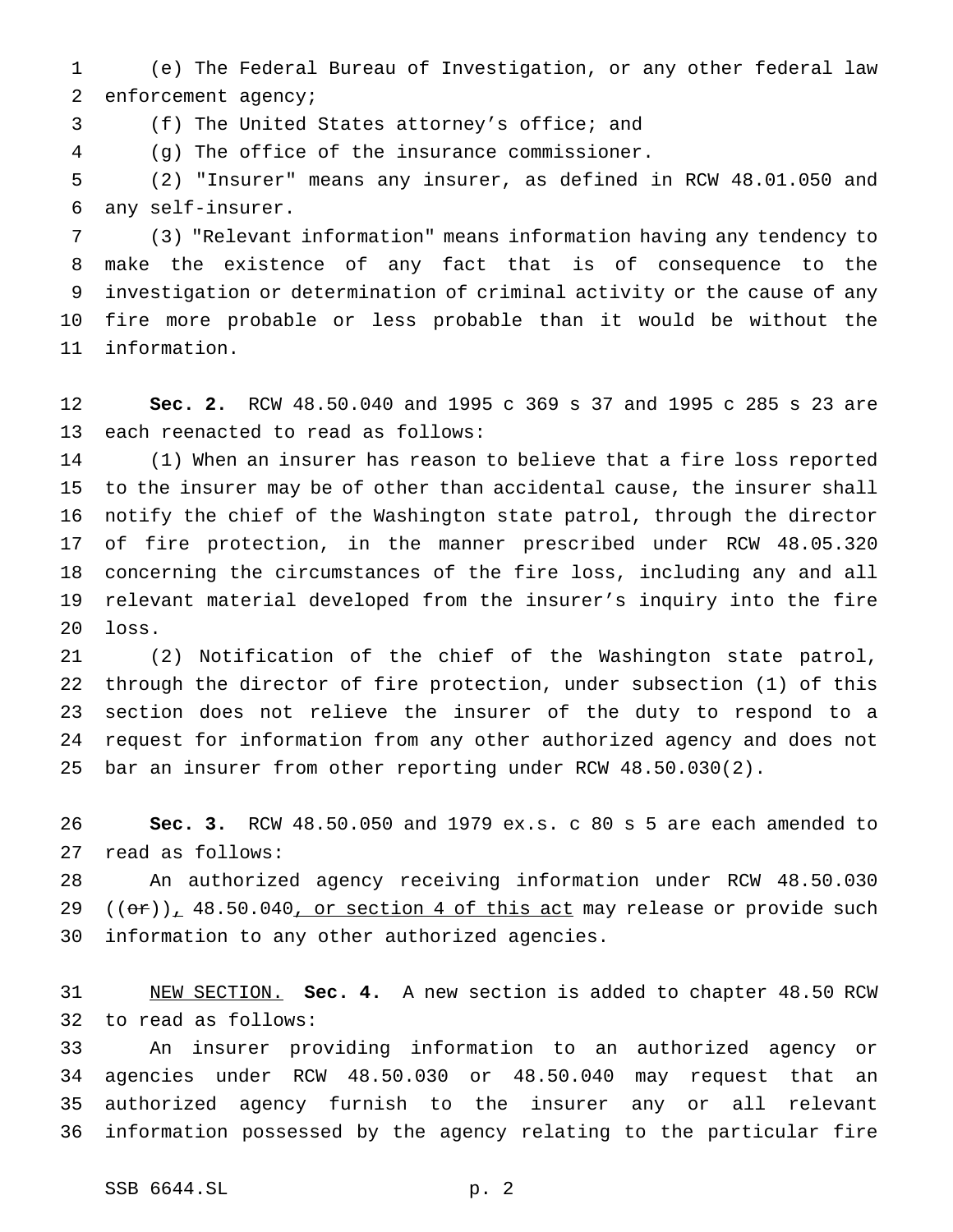(e) The Federal Bureau of Investigation, or any other federal law enforcement agency;

(f) The United States attorney's office; and

(g) The office of the insurance commissioner.

 (2) "Insurer" means any insurer, as defined in RCW 48.01.050 and any self-insurer.

 (3) "Relevant information" means information having any tendency to make the existence of any fact that is of consequence to the investigation or determination of criminal activity or the cause of any fire more probable or less probable than it would be without the information.

 **Sec. 2.** RCW 48.50.040 and 1995 c 369 s 37 and 1995 c 285 s 23 are each reenacted to read as follows:

 (1) When an insurer has reason to believe that a fire loss reported to the insurer may be of other than accidental cause, the insurer shall notify the chief of the Washington state patrol, through the director of fire protection, in the manner prescribed under RCW 48.05.320 concerning the circumstances of the fire loss, including any and all relevant material developed from the insurer's inquiry into the fire loss.

 (2) Notification of the chief of the Washington state patrol, through the director of fire protection, under subsection (1) of this section does not relieve the insurer of the duty to respond to a request for information from any other authorized agency and does not bar an insurer from other reporting under RCW 48.50.030(2).

 **Sec. 3.** RCW 48.50.050 and 1979 ex.s. c 80 s 5 are each amended to read as follows:

 An authorized agency receiving information under RCW 48.50.030  $((or))_1$  48.50.040, or section 4 of this act may release or provide such information to any other authorized agencies.

 NEW SECTION. **Sec. 4.** A new section is added to chapter 48.50 RCW to read as follows:

 An insurer providing information to an authorized agency or agencies under RCW 48.50.030 or 48.50.040 may request that an authorized agency furnish to the insurer any or all relevant information possessed by the agency relating to the particular fire